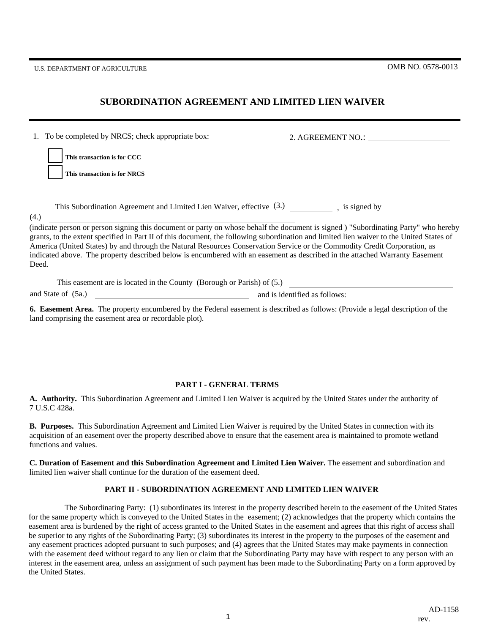U.S. DEPARTMENT OF AGRICULTURE OMB NO. 0578-0013

(4.)

## **SUBORDINATION AGREEMENT AND LIMITED LIEN WAIVER**

2. AGREEMENT NO.: **This transaction is for CCC This transaction is for NRCS** 1. To be completed by NRCS; check appropriate box:

This Subordination Agreement and Limited Lien Waiver, effective  $(3.)$  (is signed by

grants, to the extent specified in Part II of this document, the following subordination and limited lien waiver to the United States of America (United States) by and through the Natural Resources Conservation Service or the Commodity Credit Corporation, as indicated above. The property described below is encumbered with an easement as described in the attached Warranty Easement Deed. (indicate person or person signing this document or party on whose behalf the document is signed ) "Subordinating Party" who hereby

| This easement are is located in the County (Borough or Parish) of (5.) |                               |
|------------------------------------------------------------------------|-------------------------------|
| and State of (5a.)                                                     | and is identified as follows: |

**6. Easement Area.** The property encumbered by the Federal easement is described as follows: (Provide a legal description of the land comprising the easement area or recordable plot).

## **PART I - GENERAL TERMS**

**A. Authority.** This Subordination Agreement and Limited Lien Waiver is acquired by the United States under the authority of 7 U.S.C 428a.

**B. Purposes.** This Subordination Agreement and Limited Lien Waiver is required by the United States in connection with its acquisition of an easement over the property described above to ensure that the easement area is maintained to promote wetland functions and values.

**C. Duration of Easement and this Subordination Agreement and Limited Lien Waiver.** The easement and subordination and limited lien waiver shall continue for the duration of the easement deed.

## **PART II - SUBORDINATION AGREEMENT AND LIMITED LIEN WAIVER**

 The Subordinating Party: (1) subordinates its interest in the property described herein to the easement of the United States for the same property which is conveyed to the United States in the easement; (2) acknowledges that the property which contains the easement area is burdened by the right of access granted to the United States in the easement and agrees that this right of access shall be superior to any rights of the Subordinating Party; (3) subordinates its interest in the property to the purposes of the easement and any easement practices adopted pursuant to such purposes; and (4) agrees that the United States may make payments in connection with the easement deed without regard to any lien or claim that the Subordinating Party may have with respect to any person with an interest in the easement area, unless an assignment of such payment has been made to the Subordinating Party on a form approved by the United States.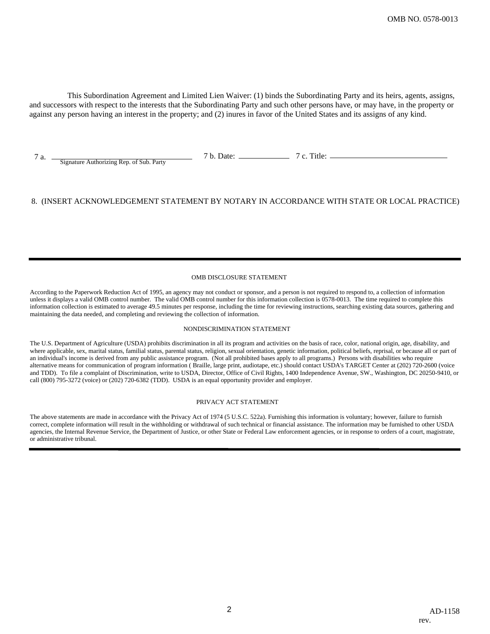This Subordination Agreement and Limited Lien Waiver: (1) binds the Subordinating Party and its heirs, agents, assigns, and successors with respect to the interests that the Subordinating Party and such other persons have, or may have, in the property or against any person having an interest in the property; and (2) inures in favor of the United States and its assigns of any kind.

7 a. <u>Signature Authorizing Rep. of Sub. Party</u> 7 b. Date:

7 c. Title:

## 8. (INSERT ACKNOWLEDGEMENT STATEMENT BY NOTARY IN ACCORDANCE WITH STATE OR LOCAL PRACTICE)

### OMB DISCLOSURE STATEMENT

According to the Paperwork Reduction Act of 1995, an agency may not conduct or sponsor, and a person is not required to respond to, a collection of information unless it displays a valid OMB control number. The valid OMB control number for this information collection is 0578-0013. The time required to complete this information collection is estimated to average 49.5 minutes per response, including the time for reviewing instructions, searching existing data sources, gathering and maintaining the data needed, and completing and reviewing the collection of information.

#### NONDISCRIMINATION STATEMENT

The U.S. Department of Agriculture (USDA) prohibits discrimination in all its program and activities on the basis of race, color, national origin, age, disability, and where applicable, sex, marital status, familial status, parental status, religion, sexual orientation, genetic information, political beliefs, reprisal, or because all or part of an individual's income is derived from any public assistance program. (Not all prohibited bases apply to all programs.) Persons with disabilities who require alternative means for communication of program information ( Braille, large print, audiotape, etc.) should contact USDA's TARGET Center at (202) 720-2600 (voice and TDD). To file a complaint of Discrimination, write to USDA, Director, Office of Civil Rights, 1400 Independence Avenue, SW., Washington, DC 20250-9410, or call (800) 795-3272 (voice) or (202) 720-6382 (TDD). USDA is an equal opportunity provider and employer.

### PRIVACY ACT STATEMENT

The above statements are made in accordance with the Privacy Act of 1974 (5 U.S.C. 522a). Furnishing this information is voluntary; however, failure to furnish correct, complete information will result in the withholding or withdrawal of such technical or financial assistance. The information may be furnished to other USDA agencies, the Internal Revenue Service, the Department of Justice, or other State or Federal Law enforcement agencies, or in response to orders of a court, magistrate, or administrative tribunal.